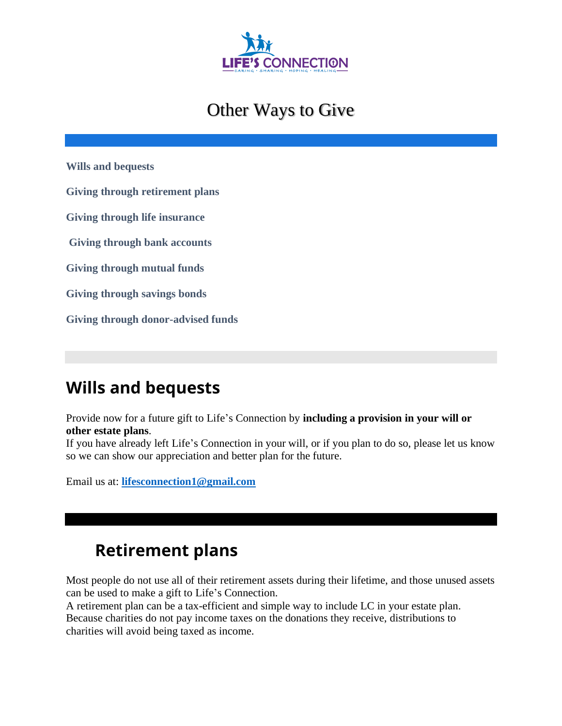

## Other Ways to Give

**[Wills and bequests](https://www.stjude.org/give/planned-giving/build-your-legacy/lifetime-gifts.html#wills)**

**[Giving through retirement plans](https://www.stjude.org/give/planned-giving/build-your-legacy/lifetime-gifts.html#retirement)**

**[Giving through life insurance](https://www.stjude.org/give/planned-giving/build-your-legacy/lifetime-gifts.html#insurance)**

**[Giving through bank accounts](https://www.stjude.org/give/planned-giving/build-your-legacy/lifetime-gifts.html#bankaccounts)**

**[Giving through mutual funds](https://www.stjude.org/give/planned-giving/build-your-legacy/lifetime-gifts.html#mutualfunds)**

**[Giving through savings bonds](https://www.stjude.org/give/planned-giving/build-your-legacy/lifetime-gifts.html#savingsbonds)**

**Giving [through donor-advised funds](https://www.stjude.org/give/planned-giving/build-your-legacy/lifetime-gifts.html#daf)**

#### **Wills and bequests**

Provide now for a future gift to Life's Connection by **including a provision in your will or other estate plans**.

If you have already left Life's Connection in your will, or if you plan to do so, please let us know so we can show our appreciation and better plan for the future.

Email us at: **lifesconnection1@gmail.com** 

#### **Retirement plans**

Most people do not use all of their retirement assets during their lifetime, and those unused assets can be used to make a gift to Life's Connection.

A retirement plan can be a tax-efficient and simple way to include LC in your estate plan. Because charities do not pay income taxes on the donations they receive, distributions to charities will avoid being taxed as income.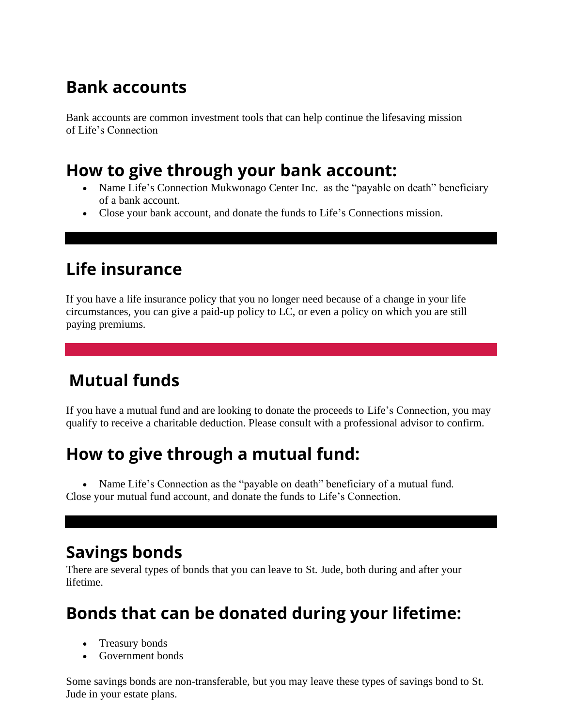# **Bank accounts**

Bank accounts are common investment tools that can help continue the lifesaving mission of Life's Connection

#### **How to give through your bank account:**

- Name Life's Connection Mukwonago Center Inc. as the "payable on death" beneficiary of a bank account.
- Close your bank account, and donate the funds to Life's Connections mission.

#### **Life insurance**

If you have a life insurance policy that you no longer need because of a change in your life circumstances, you can give a paid-up policy to LC, or even a policy on which you are still paying premiums.

# **Mutual funds**

If you have a mutual fund and are looking to donate the proceeds to Life's Connection, you may qualify to receive a charitable deduction. Please consult with a professional advisor to confirm.

# **How to give through a mutual fund:**

• Name Life's Connection as the "payable on death" beneficiary of a mutual fund. Close your mutual fund account, and donate the funds to Life's Connection.

### **Savings bonds**

There are several types of bonds that you can leave to St. Jude, both during and after your lifetime.

### **Bonds that can be donated during your lifetime:**

- Treasury bonds
- Government bonds

Some savings bonds are non-transferable, but you may leave these types of savings bond to St. Jude in your estate plans.